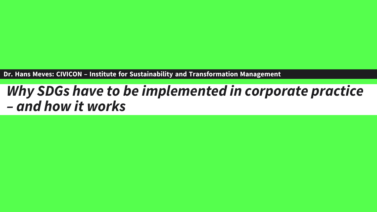**Dr. Hans Meves: CIVICON – Institute for Sustainability and Transformation Management** 

## *Why SDGs have to be implemented in corporate practice – and how it works*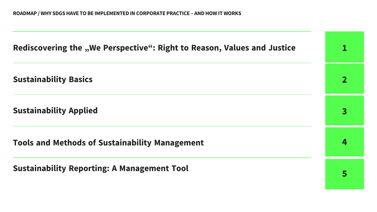Rediscovering the "We Perspective": Right to Reason, Values and Justice

**Sustainability Basics**

**Sustainability Applied**

**Tools and Methods of Sustainability Management**

**Sustainability Reporting: A Management Tool**

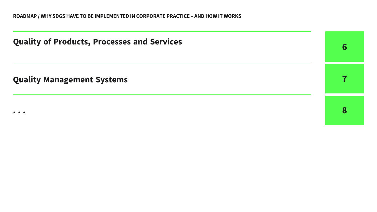**Quality of Products, Processes and Services**

**Quality Management Systems**

**. . .** 

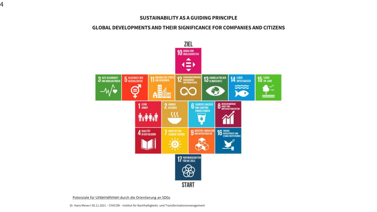#### **SUSTAINABILITY AS A GUIDING PRINCIPLE**

#### **GLOBAL DEVELOPMENTS AND THEIR SIGNIFICANCE FOR COMPANIES AND CITIZENS**



Potenziale für Unternehmen [durch die Orientierung an SDGs](https://www.youtube.com/watch?v=O_8iZJ9Gpgc)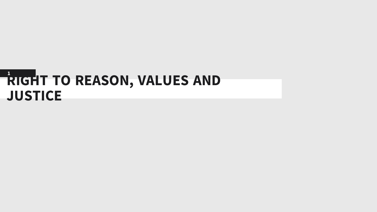## **RIGHT TO REASON, VALUES AND JUSTICE**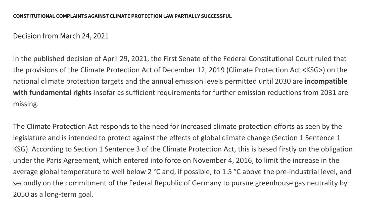### Decision from March 24, 2021

In the published decision of April 29, 2021, the First Senate of the Federal Constitutional Court ruled that the provisions of the Climate Protection Act of December 12, 2019 (Climate Protection Act <KSG>) on the national climate protection targets and the annual emission levels permitted until 2030 are **incompatible with fundamental rights** insofar as sufficient requirements for further emission reductions from 2031 are missing.

The Climate Protection Act responds to the need for increased climate protection efforts as seen by the legislature and is intended to protect against the effects of global climate change (Section 1 Sentence 1 KSG). According to Section 1 Sentence 3 of the Climate Protection Act, this is based firstly on the obligation under the Paris Agreement, which entered into force on November 4, 2016, to limit the increase in the average global temperature to well below 2 °C and, if possible, to 1.5 °C above the pre-industrial level, and secondly on the commitment of the Federal Republic of Germany to pursue greenhouse gas neutrality by 2050 as a long-term goal.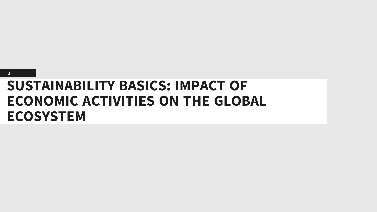

## **SUSTAINABILITY BASICS: IMPACT OF ECONOMIC ACTIVITIES ON THE GLOBAL ECOSYSTEM**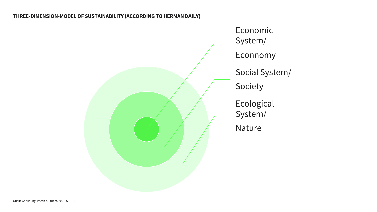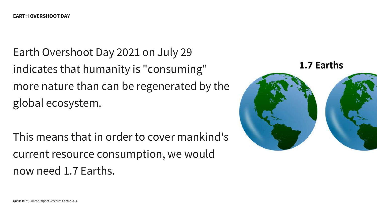Earth Overshoot Day 2021 on July 29 indicates that humanity is "consuming" more nature than can be regenerated by the global ecosystem.

This means that in order to cover mankind's current resource consumption, we would now need 1.7 Earths.

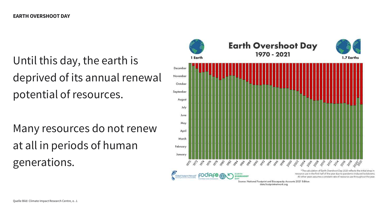Until this day, the earth is deprived of its annual renewal potential of resources.

Many resources do not renew at all in periods of human generations.

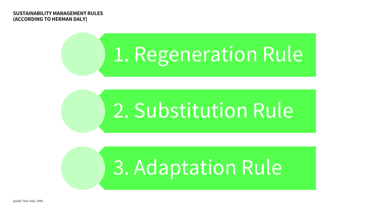**SUSTAINABILITY MANAGEMENT RULES (ACCORDING TO HERMAN DALY)**

# 1. Regeneration Rule

# 2. Substitution Rule

# 3. Adaptation Rule

Quelle Text: Daly, 1990.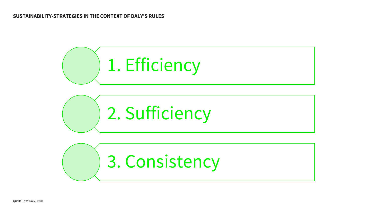

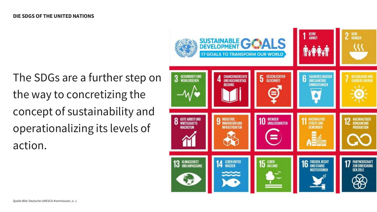The SDGs are a further step on the way to concretizing the concept of sustainability and operationalizing its levels of action.

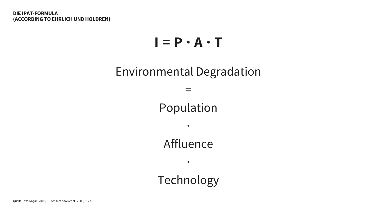## $I = P \cdot A \cdot T$

## Environmental Degradation

Population

·

=

Affluence

·

Technology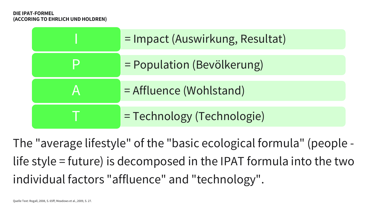#### **DIE IPAT-FORMEL (ACCORING TO EHRLICH UND HOLDREN)**

| = Impact (Auswirkung, Resultat) |  |
|---------------------------------|--|
| = Population (Bevölkerung)      |  |
| = Affluence (Wohlstand)         |  |
| = Technology (Technologie)      |  |

The "average lifestyle" of the "basic ecological formula" (people life style = future) is decomposed in the IPAT formula into the two individual factors "affluence" and "technology".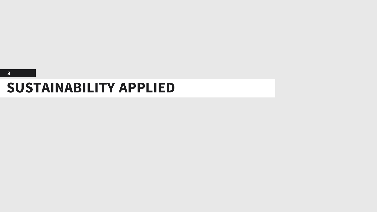#### **3**

## **SUSTAINABILITY APPLIED**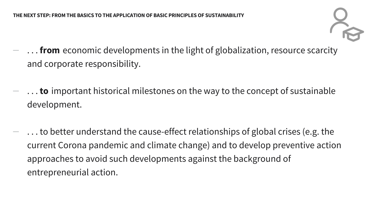

- **... from** economic developments in the light of globalization, resource scarcity and corporate responsibility.
- − . . . **to** important historical milestones on the way to the concept of sustainable development.
- − . . . to better understand the cause-effect relationships of global crises (e.g. the current Corona pandemic and climate change) and to develop preventive action approaches to avoid such developments against the background of entrepreneurial action.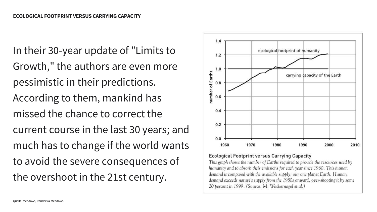In their 30-year update of "Limits to Growth," the authors are even more pessimistic in their predictions. According to them, mankind has missed the chance to correct the current course in the last 30 years; and much has to change if the world wants to avoid the severe consequences of the overshoot in the 21st century.



#### **Ecological Footprint versus Carrying Capacity**

This graph shows the number of Earths required to provide the resources used by humanity and to absorb their emissions for each year since 1960. This human demand is compared with the available supply: our one planet Earth. Human demand exceeds nature's supply from the 1980s onward, over-shooting it by some 20 percent in 1999. (Source: M. Wackernagel et al.)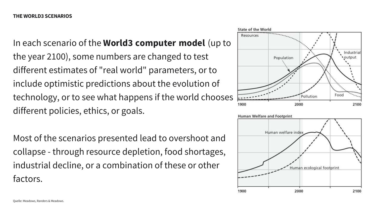In each scenario of the **World3 computer model** (up to the year 2100), some numbers are changed to test different estimates of "real world" parameters, or to include optimistic predictions about the evolution of technology, or to see what happens if the world chooses different policies, ethics, or goals.

Most of the scenarios presented lead to overshoot and collapse - through resource depletion, food shortages, industrial decline, or a combination of these or other factors.



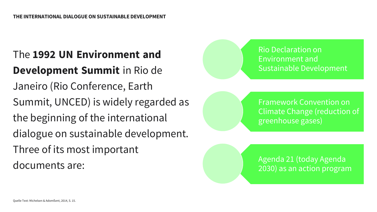## The **1992 UN Environment and Development Summit** in Rio de Janeiro (Rio Conference, Earth Summit, UNCED) is widely regarded as the beginning of the international dialogue on sustainable development. Three of its most important documents are:



Framework Convention on Climate Change (reduction of greenhouse gases)

Agenda 21 (today Agenda 2030) as an action program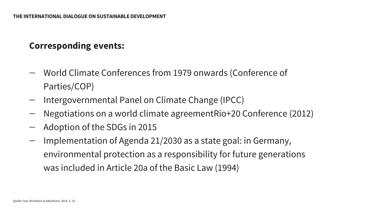## **Corresponding events:**

- − World Climate Conferences from 1979 onwards (Conference of Parties/COP)
- − Intergovernmental Panel on Climate Change (IPCC)
- − Negotiations on a world climate agreementRio+20 Conference (2012)
- − Adoption of the SDGs in 2015
- − Implementation of Agenda 21/2030 as a state goal: in Germany, environmental protection as a responsibility for future generations was included in Article 20a of the Basic Law (1994)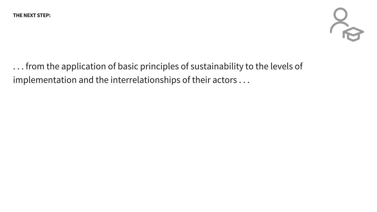

. . . from the application of basic principles of sustainability to the levels of implementation and the interrelationships of their actors . . .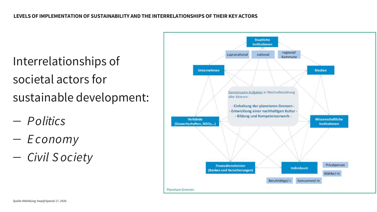Interrelationships of societal actors for sustainable development:

- − *P olitics*
- − *E conomy*
- − *Civil S ociety*

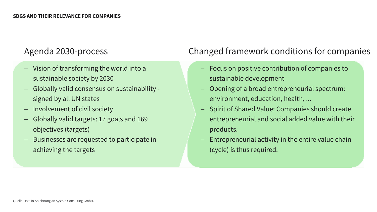- − Vision of transforming the world into a sustainable society by 2030
- − Globally valid consensus on sustainability signed by all UN states
- − Involvement of civil society
- − Globally valid targets: 17 goals and 169 objectives (targets)
- − Businesses are requested to participate in achieving the targets

## Agenda 2030-process Changed framework conditions for companies

- Focus on positive contribution of companies to sustainable development
- − Opening of a broad entrepreneurial spectrum: environment, education, health, ...
- − Spirit of Shared Value: Companies should create entrepreneurial and social added value with their products.
- Entrepreneurial activity in the entire value chain (cycle) is thus required.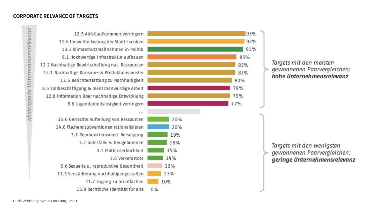#### **CORPORATE RELVANCE OF TARGETS**

absteigende Unternehmensrelevanz

12.5 Abfallaufkommen verringern 11.6 Umweltbelastung der Städte senken 13.2 Klimaschutzmaßnahmen in Politik 9.1 Hochwertige Infrastruktur aufbauen 12.2 Nachhaltige Bewirtschaftung nat. Ressourcen 12.1 Nachhaltige Konsum- & Produktionsmuster 12.6 Berichterstattung zu Nachhaltigkeit 8.5 Vollbeschäftigung & menschenwürdige Arbeit 12.8 Information über nachhaltige Entwicklung 8.6 Jugendarbeitslosigkeit verringern  $1.14$ 15.6 Gerrechte Aufteilung von Ressourcen 14.6 Fischereisubventionen rationalisieren 3.7 Reproduktionsmed. Versorgung 3.2 Todesfälle v. Neugeborenen 3.1 Müttersterblichkeit 3.6 Verkehrstote 5.6 Sexuelle u. reproduktive Gesundheit 11.3 Verstädterung nachhaltiger gestalten 11.7 Zugang zu Grünflächen 16.9 Rechtliche Identität für alle  $0%$ 



#### Targets mit den meisten gewonnenen Paarvergleichen: hohe Unternehmensrelevanz

Targets mit den wenigsten gewonnenen Paarvergleichen: geringe Unternehmensrelevanz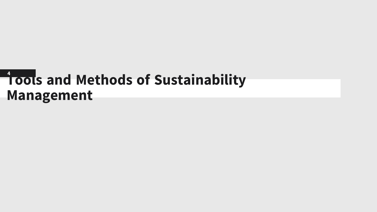## **Tools and Methods of Sustainability 4Management**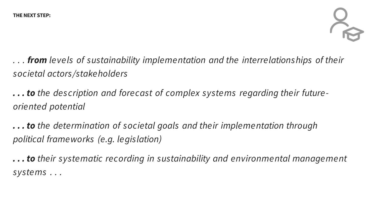

*. . . from levels of sustainability implementation and the interrelationships of their societal actors/stakeholders* 

*. . . to the des cription and forecast of complex systems regarding their futureoriented potential*

*. . . to the determination of societal goals and their implementation through political frameworks (e.g. legislation)*

*. . . to their systematic recording in sustainability and environmental management systems . . .*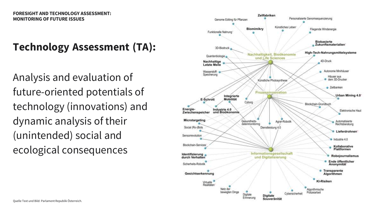## **Technology Assessment (TA):**

Analysis and evaluation of future-oriented potentials of technology (innovations) and dynamic analysis of their (unintended) social and ecological consequences

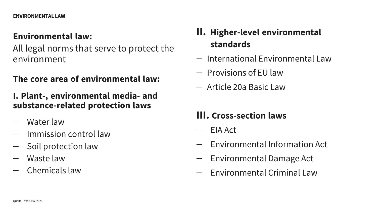### **Environmental law:**

All legal norms that serve to protect the environment

**The core area of environmental law:**

### **I. Plant-, environmental media- and substance-related protection laws**

- − Water law
- − Immission control law
- − Soil protection law
- − Waste law
- − Chemicals law
- **II. Higher-level environmental standards**
- − International Environmental Law
- − Provisions of EU law
- − Article 20a Basic Law

## **III. Cross-section laws**

- − EIA Act
- − Environmental Information Act
- − Environmental Damage Act
- − Environmental Criminal Law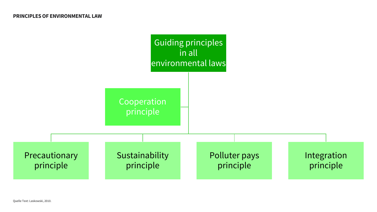

Quelle Text: Laskowski, 2010.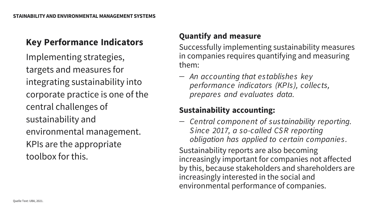## **Key Performance Indicators**

Implementing strategies, targets and measures for integrating sustainability into corporate practice is one of the central challenges of sustainability and environmental management. KPIs are the appropriate toolbox for this.

### **Quantify and measure**

Successfully implementing sustainability measures in companies requires quantifying and measuring them:

− *An accounting that establishes key performance indicators (KPIs), collects, prepares and evaluates data.*

### **Sustainability accounting:**

− *Central component of sustainability reporting. S ince 2017, a so-called CS R reporting obligation has applied to certain companies .* 

Sustainability reports are also becoming increasingly important for companies not affected by this, because stakeholders and shareholders are increasingly interested in the social and environmental performance of companies.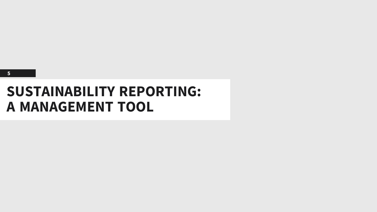

## **SUSTAINABILITY REPORTING: A MANAGEMENT TOOL**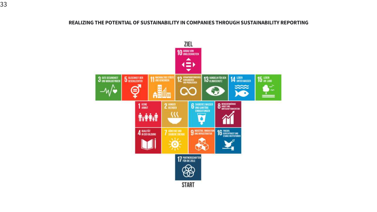#### **REALIZING THE POTENTIAL OF SUSTAINABILITY IN COMPANIES THROUGH SUSTAINABILITY REPORTING**

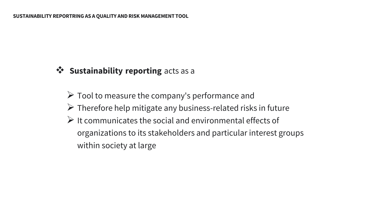## ❖ **Sustainability reporting** acts as a

 $\triangleright$  Tool to measure the company's performance and  $\triangleright$  Therefore help mitigate any business-related risks in future  $\triangleright$  It communicates the social and environmental effects of organizations to its stakeholders and particular interest groups within society at large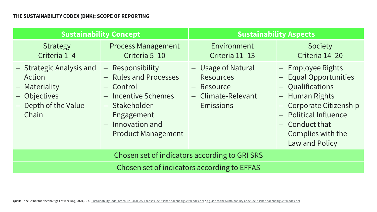| <b>Sustainability Concept</b>                                                                        |                                                                                                                                                                 | <b>Sustainability Aspects</b>                                                           |                                                                                                                                                                                                 |  |
|------------------------------------------------------------------------------------------------------|-----------------------------------------------------------------------------------------------------------------------------------------------------------------|-----------------------------------------------------------------------------------------|-------------------------------------------------------------------------------------------------------------------------------------------------------------------------------------------------|--|
| <b>Strategy</b><br>Criteria 1-4                                                                      | <b>Process Management</b><br>Criteria 5-10                                                                                                                      | Environment<br>Criteria 11-13                                                           | Society<br>Criteria 14-20                                                                                                                                                                       |  |
| - Strategic Analysis and<br>Action<br>- Materiality<br>- Objectives<br>- Depth of the Value<br>Chain | - Responsibility<br>- Rules and Processes<br>- Control<br>- Incentive Schemes<br>- Stakeholder<br>Engagement<br>$-$ Innovation and<br><b>Product Management</b> | - Usage of Natural<br><b>Resources</b><br>- Resource<br>- Climate-Relevant<br>Emissions | - Employee Rights<br>- Equal Opportunities<br>- Qualifications<br>- Human Rights<br>- Corporate Citizenship<br>- Political Influence<br>$-$ Conduct that<br>Complies with the<br>Law and Policy |  |
| Chosen set of indicators according to GRI SRS                                                        |                                                                                                                                                                 |                                                                                         |                                                                                                                                                                                                 |  |
| Chosen set of indicators according to EFFAS                                                          |                                                                                                                                                                 |                                                                                         |                                                                                                                                                                                                 |  |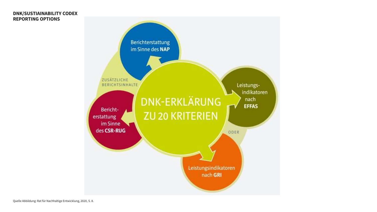#### **DNK/SUSTIAINABILITY CODEX REPORTING OPTIONS**

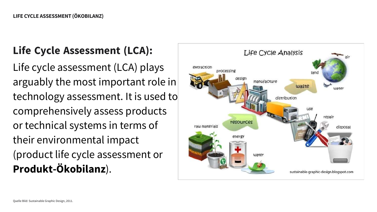## **Life Cycle Assessment (LCA):**

Life cycle assessment (LCA) plays arguably the most important role in technology assessment. It is used to comprehensively assess products or technical systems in terms of their environmental impact (product life cycle assessment or **Produkt-Ökobilanz**).

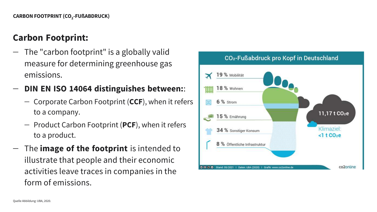### **Carbon Footprint:**

− The "carbon footprint" is a globally valid measure for determining greenhouse gas emissions.

### − **DIN EN ISO 14064 distinguishes between:**:

- − Corporate Carbon Footprint (**CCF**), when it refers to a company.
- − Product Carbon Footprint (**PCF**), when it refers to a product.
- − The **image of the footprint** is intended to illustrate that people and their economic activities leave traces in companies in the form of emissions.

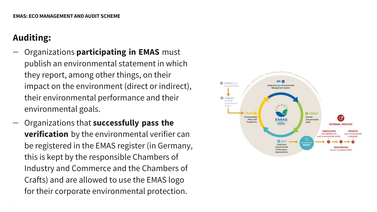## **Auditing:**

.

- − Organizations **participating in EMAS** must publish an environmental statement in which they report, among other things, on their impact on the environment (direct or indirect), their environmental performance and their environmental goals.
- − Organizations that **successfully pass the verification** by the environmental verifier can be registered in the EMAS register (in Germany, this is kept by the responsible Chambers of Industry and Commerce and the Chambers of Crafts) and are allowed to use the EMAS logo for their corporate environmental protection.

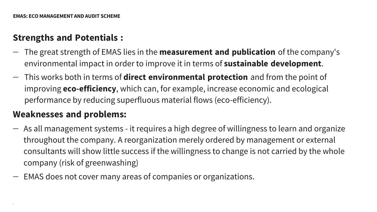## **Strengths and Potentials :**

- − The great strength of EMAS lies in the **measurement and publication** of the company's environmental impact in order to improve it in terms of **sustainable development**.
- − This works both in terms of **direct environmental protection** and from the point of improving **eco-efficiency**, which can, for example, increase economic and ecological performance by reducing superfluous material flows (eco-efficiency).

## **Weaknesses and problems:**

.

- − As all management systems it requires a high degree of willingness to learn and organize throughout the company. A reorganization merely ordered by management or external consultants will show little success if the willingness to change is not carried by the whole company (risk of greenwashing)
- − EMAS does not cover many areas of companies or organizations.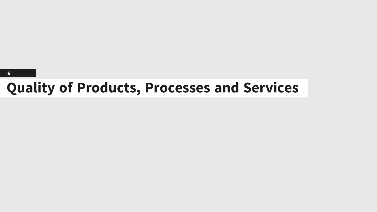### **6**

## **Quality of Products, Processes and Services**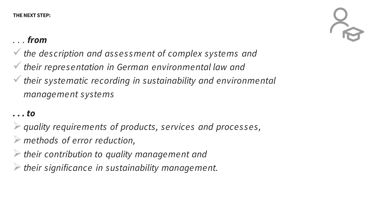## *. . . from*

- ✓*the des cription and ass es s ment of complex systems and*
- ✓*their repres entation in German environmental law and*
- ✓*their systematic recording in sustainability and environmental management systems*

## *. . . to*

- ➢*quality requirements of products, services and proces s es,*
- ➢ *methods of error reduction,*
- ➢*their contribution to quality management and*
- ➢*their significance in sustainability management.*

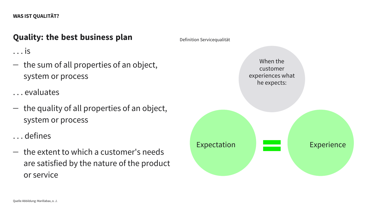#### **WAS IST QUALITÄT?**

### **Quality: the best business plan**

. . . is

− the sum of all properties of an object, system or process

. . . evaluates

− the quality of all properties of an object, system or process

. . . defines

− the extent to which a customer's needs are satisfied by the nature of the product or service

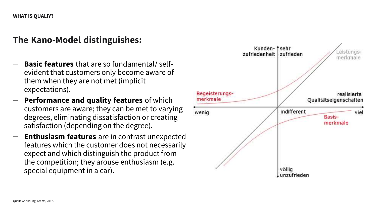## **The Kano-Model distinguishes:**

- **Basic features** that are so fundamental/ selfevident that customers only become aware of them when they are not met (implicit expectations).
- **Performance and quality features** of which customers are aware; they can be met to varying degrees, eliminating dissatisfaction or creating satisfaction (depending on the degree).
- **Enthusiasm features** are in contrast unexpected features which the customer does not necessarily expect and which distinguish the product from the competition; they arouse enthusiasm (e.g. special equipment in a car).

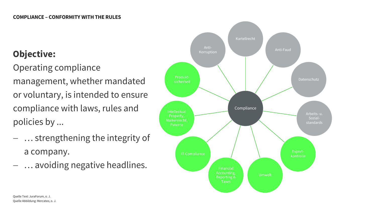## **Objective:**

Operating compliance management, whether mandated or voluntary, is intended to ensure compliance with laws, rules and policies by ...

- … strengthening the integrity of a company.
- − … avoiding negative headlines.

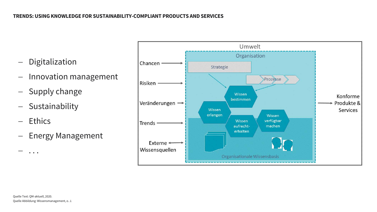- − Digitalization
- − Innovation management
- − Supply change
- − Sustainability
- − Ethics

− . . .

− Energy Management

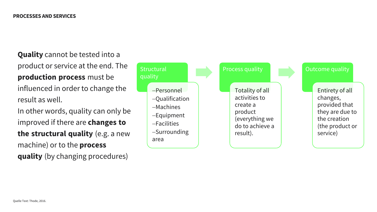**Quality** cannot be tested into a product or service at the end. The **production process** must be influenced in order to change the result as well. In other words, quality can only be

improved if there are **changes to the structural quality** (e.g. a new machine) or to the **process quality** (by changing procedures)

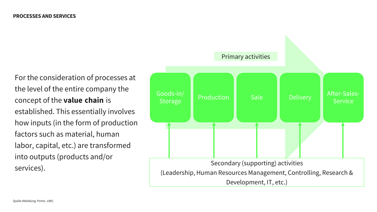For the consideration of processes at the level of the entire company the concept of the **value chain** is established. This essentially involves how inputs (in the form of production factors such as material, human labor, capital, etc.) are transformed into outputs (products and/or services).

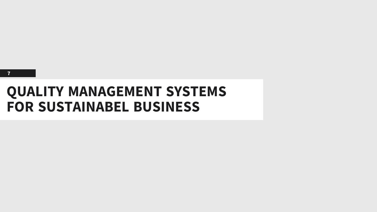

## **QUALITY MANAGEMENT SYSTEMS FOR SUSTAINABEL BUSINESS**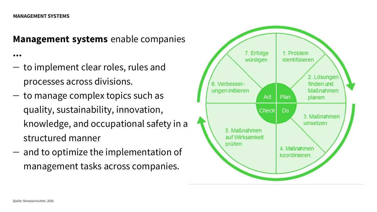#### **MANAGEMENT SYSTEMS**

**Management systems** enable companies

**...**

- − to implement clear roles, rules and processes across divisions.
- − to manage complex topics such as quality, sustainability, innovation, knowledge, and occupational safety in a structured manner
- − and to optimize the implementation of management tasks across companies.

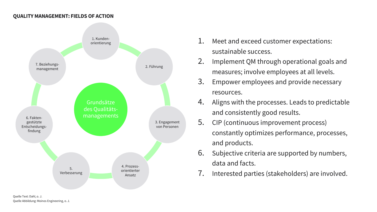#### **QUALITY MANAGEMENT: FIELDS OF ACTION**



- 1. Meet and exceed customer expectations: sustainable success.
- 2. Implement QM through operational goals and measures; involve employees at all levels.
- 3. Empower employees and provide necessary resources.
- 4. Aligns with the processes. Leads to predictable and consistently good results.
- 5. CIP (continuous improvement process) constantly optimizes performance, processes, and products.
- 6. Subjective criteria are supported by numbers, data and facts.
- 7. Interested parties (stakeholders) are involved.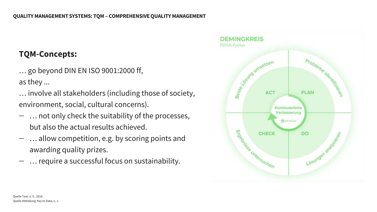### **TQM-Concepts:**

… go beyond DIN EN ISO 9001:2000 ff, as they ...

- … involve all stakeholders (including those of society, environment, social, cultural concerns).
- ∴ not only check the suitability of the processes, but also the actual results achieved.
- − … allow competition, e.g. by scoring points and awarding quality prizes.
- ∴ require a successful focus on sustainability.

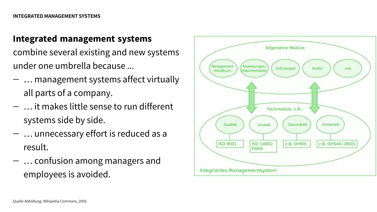## **Integrated management systems**

combine several existing and new systems under one umbrella because ...

- − … management systems affect virtually all parts of a company.
- − … it makes little sense to run different systems side by side.
- − … unnecessary effort is reduced as a result.
- − … confusion among managers and employees is avoided.

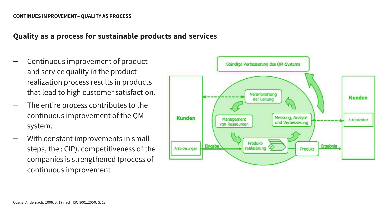#### **CONTINUES IMPROVEMENT–QUALITY AS PROCESS**

### **Quality as a process for sustainable products and services**

- − Continuous improvement of product and service quality in the product realization process results in products that lead to high customer satisfaction.
- The entire process contributes to the continuous improvement of the QM system.
- With constant improvements in small steps, the : CIP). competitiveness of the companies is strengthened (process of continuous improvement